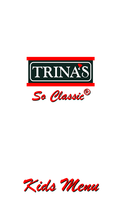



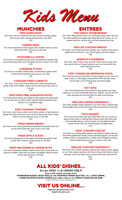



#### **MINI CORN DOGS**

Our fresh and corn battered mini never-frozen hot dogs, golden fried, served with mustard and ketchup on the side. 3.25

## **CHEESE FRIES**

Our fresh seasoned hot fries topped with cheddar cheese, served with buttermilk ranch sauce on the side. 3.95

# **MOZZARELLA STICKS**

Our fresh cut mozzarella cheese sticks, hand-battered, golden fried, served with buttermilk ranch and zesty marinara sauces on the side. 3.25

# **CHEDDAR STICKS**

Our fresh cut cheddar cheese sticks, hand-battered, golden fried, served with buttermilk ranch sauce on the side. 3.25

# **CHEDDAR FRIED CARROTS**

Our fresh, crisp, never-frozen baby carrot sticks hand-battered, golden fried with cheddar cheese, served with buttermilk ranch on the side.

3.95

#### **MINI FRIED PB&J SANDWICH BITES**

Our fresh peanut butter and raspberry jelly topped and sandwiched on our bite size cut white bread, tempura battered, golden fried, dusted in our powdered sugar.  $4.25$ 

#### **KIDS' CHICKEN TENDERS**

Our fresh, never-frozen white meat chicken tenders, crispy battered, golden fried and served with your choice of buttermilk ranch, honey Dijon or honey barbecue sauce on the side. 4.25

#### **FRIED GREEN BEANS**

Our fresh, never-frozen green beans hand-battered, golden fried and served with buttermilk ranch sauce on the side.

3.25

# **FRIED APPLE SLICES**

Our fresh sliced granny smith apples hand-battered, golden fried, served with cinnamon caramel sauce on the side. 3.25

# **FRIED MACARONI & CHEESE BITES**

Our fresh homemade cheddar cheese cream sauce mixed with our macaroni noodles rolled with our batter and golden fried into bites, served with ketchup on the side.

4.25



# **ENTREES THE GREAT KIDSBURGER®**

Our fresh 100% ground chuck 4 oz. hamburger patty, wider than the bun, flame-grilled and topped with sliced American cheese, on our sesame seed bun, served with our fresh seasoned hot fries. 3.95

#### **GRILLED CHICKEN BREAST**

Our fresh, never-frozen boneless, skinless, lean chicken breast, flamegrilled and served with a cup of fresh grapes and sliced apples. 3.95

#### **AMERICA'S KIDSRIBS®**

Our fresh, never-frozen, slow smoked 4 spare bone-in baby back ribs, sauced with our honey barbecue sauce and served with our fresh seasoned hot fries. 4.95

# **KIDS' CHEESE OR PEPPERONI PIZZA**

Our fresh hand-tossed wood-fried 4" pizza topped as your choice of plain cheese or with pepperonis plus both with marinara sauce, served with a cup of fresh grapes and sliced apples. 5.25

#### **HOT DOG**

Our fresh all-American natural beef hot dog, quarter inch long topped on our fresh homemade baked hot dog bun, served with our fresh seasoned hot fries and side of mustard and ketchup. 3.95

#### **GRILLED CHEESE SANDWICH**

Our fresh cheddar cheese topped on our fresh Texas toasted white bread, grilled and served with potato chips and ketchup on the side. 3.95

# **TACO BASKET**

Two of our fresh fried crispy taco shells filled with your choice of ground sirloin beef or flame-grilled chicken breast lean slices with fresh shredded lettuce, diced tomatoes and shredded cheddar cheese, served with cup of fresh grapes and apple slices. 4.25

#### **KIDS' CHICKEN FAJITAS**

Our black iron sizzling skillet (please, use caution!) topped with our fresh flame-grilled lean chicken breast with bell peppers, served with cheddar cheese, homemade flour tortillas, fresh chopped tomatoes, fresh shredded lettuce and sour cream on the side. 5.95

#### **GRILLED CHICKEN SANDWICH**

Our fresh, never-frozen boneless, skinless lean chicken breast topped on our fresh sesame seed bun with Swiss cheese, fresh lettuce, sliced tomatoes, and honey Dijon sauce, served with fresh seasoned hot fries.

4.25



*Are for AGES 12 & UNDER ONLY!* **Come with endless servings of our HOMEMADE BAKED YEAST ROLLS with WHIPPED HONEY BUTTER, 10 oz. KIDS' DRINK, a ROSE-SHAPED SUGAR COOKIE and endless trips to our FRESH CLEAN SALAD BAR!** © 2022, 1973 Ryan J. Chronic International Inc.



**http://trinasrestaurants.com http://rchronic.com**